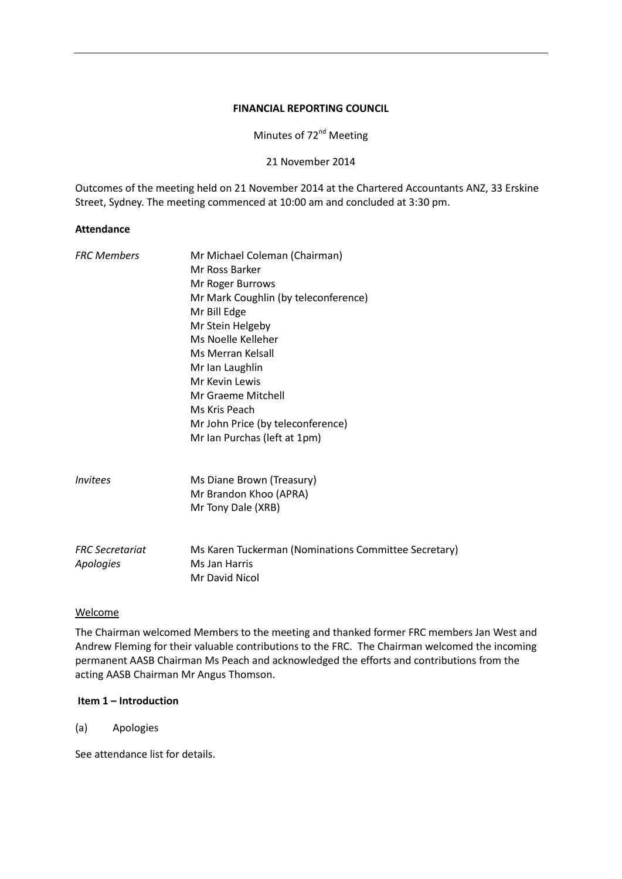#### **FINANCIAL REPORTING COUNCIL**

Minutes of 72<sup>nd</sup> Meeting

21 November 2014

Outcomes of the meeting held on 21 November 2014 at the Chartered Accountants ANZ, 33 Erskine Street, Sydney. The meeting commenced at 10:00 am and concluded at 3:30 pm.

#### **Attendance**

| <b>FRC Members</b>            | Mr Michael Coleman (Chairman)                        |
|-------------------------------|------------------------------------------------------|
|                               | Mr Ross Barker                                       |
|                               | Mr Roger Burrows                                     |
|                               | Mr Mark Coughlin (by teleconference)                 |
|                               | Mr Bill Edge                                         |
|                               | Mr Stein Helgeby                                     |
|                               | Ms Noelle Kelleher                                   |
|                               | Ms Merran Kelsall                                    |
|                               | Mr Ian Laughlin                                      |
|                               | Mr Kevin Lewis                                       |
|                               | Mr Graeme Mitchell                                   |
|                               | Ms Kris Peach                                        |
|                               | Mr John Price (by teleconference)                    |
|                               | Mr Ian Purchas (left at 1pm)                         |
| <i><u><b>Invitees</b></u></i> | Ms Diane Brown (Treasury)                            |
|                               | Mr Brandon Khoo (APRA)                               |
|                               | Mr Tony Dale (XRB)                                   |
|                               |                                                      |
| <b>FRC</b> Secretariat        | Ms Karen Tuckerman (Nominations Committee Secretary) |
| Apologies                     | Ms Jan Harris                                        |
|                               | Mr David Nicol                                       |
|                               |                                                      |

### Welcome

The Chairman welcomed Members to the meeting and thanked former FRC members Jan West and Andrew Fleming for their valuable contributions to the FRC. The Chairman welcomed the incoming permanent AASB Chairman Ms Peach and acknowledged the efforts and contributions from the acting AASB Chairman Mr Angus Thomson.

#### **Item 1 – Introduction**

(a) Apologies

See attendance list for details.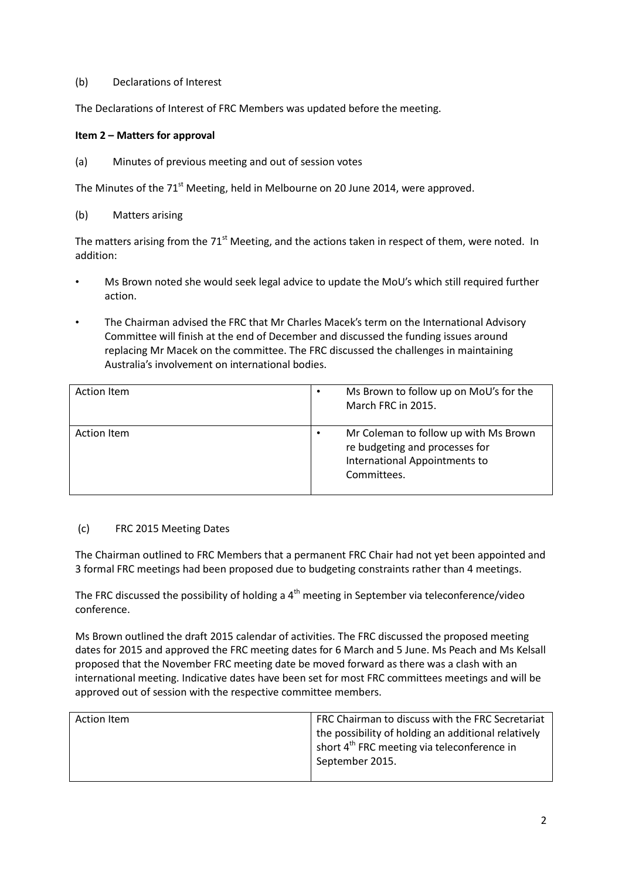### (b) Declarations of Interest

The Declarations of Interest of FRC Members was updated before the meeting.

## **Item 2 – Matters for approval**

(a) Minutes of previous meeting and out of session votes

The Minutes of the 71<sup>st</sup> Meeting, held in Melbourne on 20 June 2014, were approved.

(b) Matters arising

The matters arising from the  $71<sup>st</sup>$  Meeting, and the actions taken in respect of them, were noted. In addition:

- Ms Brown noted she would seek legal advice to update the MoU's which still required further action.
- The Chairman advised the FRC that Mr Charles Macek's term on the International Advisory Committee will finish at the end of December and discussed the funding issues around replacing Mr Macek on the committee. The FRC discussed the challenges in maintaining Australia's involvement on international bodies.

| Action Item        | Ms Brown to follow up on MoU's for the<br>$\bullet$<br>March FRC in 2015.                                                            |
|--------------------|--------------------------------------------------------------------------------------------------------------------------------------|
| <b>Action Item</b> | Mr Coleman to follow up with Ms Brown<br>$\bullet$<br>re budgeting and processes for<br>International Appointments to<br>Committees. |

### (c) FRC 2015 Meeting Dates

The Chairman outlined to FRC Members that a permanent FRC Chair had not yet been appointed and 3 formal FRC meetings had been proposed due to budgeting constraints rather than 4 meetings.

The FRC discussed the possibility of holding a  $4<sup>th</sup>$  meeting in September via teleconference/video conference.

Ms Brown outlined the draft 2015 calendar of activities. The FRC discussed the proposed meeting dates for 2015 and approved the FRC meeting dates for 6 March and 5 June. Ms Peach and Ms Kelsall proposed that the November FRC meeting date be moved forward as there was a clash with an international meeting. Indicative dates have been set for most FRC committees meetings and will be approved out of session with the respective committee members.

| Action Item | FRC Chairman to discuss with the FRC Secretariat<br>the possibility of holding an additional relatively<br>short $4^{\text{th}}$ FRC meeting via teleconference in<br>September 2015. |
|-------------|---------------------------------------------------------------------------------------------------------------------------------------------------------------------------------------|
|             |                                                                                                                                                                                       |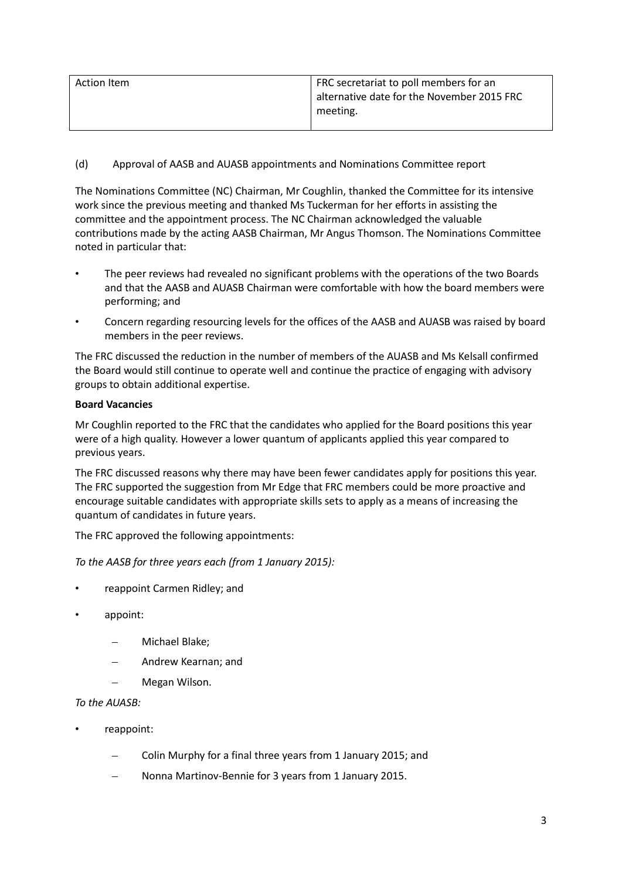| Action Item | FRC secretariat to poll members for an     |
|-------------|--------------------------------------------|
|             | alternative date for the November 2015 FRC |
|             | meeting.                                   |
|             |                                            |

# (d) Approval of AASB and AUASB appointments and Nominations Committee report

The Nominations Committee (NC) Chairman, Mr Coughlin, thanked the Committee for its intensive work since the previous meeting and thanked Ms Tuckerman for her efforts in assisting the committee and the appointment process. The NC Chairman acknowledged the valuable contributions made by the acting AASB Chairman, Mr Angus Thomson. The Nominations Committee noted in particular that:

- The peer reviews had revealed no significant problems with the operations of the two Boards and that the AASB and AUASB Chairman were comfortable with how the board members were performing; and
- Concern regarding resourcing levels for the offices of the AASB and AUASB was raised by board members in the peer reviews.

The FRC discussed the reduction in the number of members of the AUASB and Ms Kelsall confirmed the Board would still continue to operate well and continue the practice of engaging with advisory groups to obtain additional expertise.

## **Board Vacancies**

Mr Coughlin reported to the FRC that the candidates who applied for the Board positions this year were of a high quality. However a lower quantum of applicants applied this year compared to previous years.

The FRC discussed reasons why there may have been fewer candidates apply for positions this year. The FRC supported the suggestion from Mr Edge that FRC members could be more proactive and encourage suitable candidates with appropriate skills sets to apply as a means of increasing the quantum of candidates in future years.

The FRC approved the following appointments:

*To the AASB for three years each (from 1 January 2015):*

- reappoint Carmen Ridley; and
- appoint:
	- Michael Blake;
	- Andrew Kearnan; and
	- Megan Wilson.

# *To the AUASB:*

- reappoint:
	- Colin Murphy for a final three years from 1 January 2015; and
	- Nonna Martinov-Bennie for 3 years from 1 January 2015.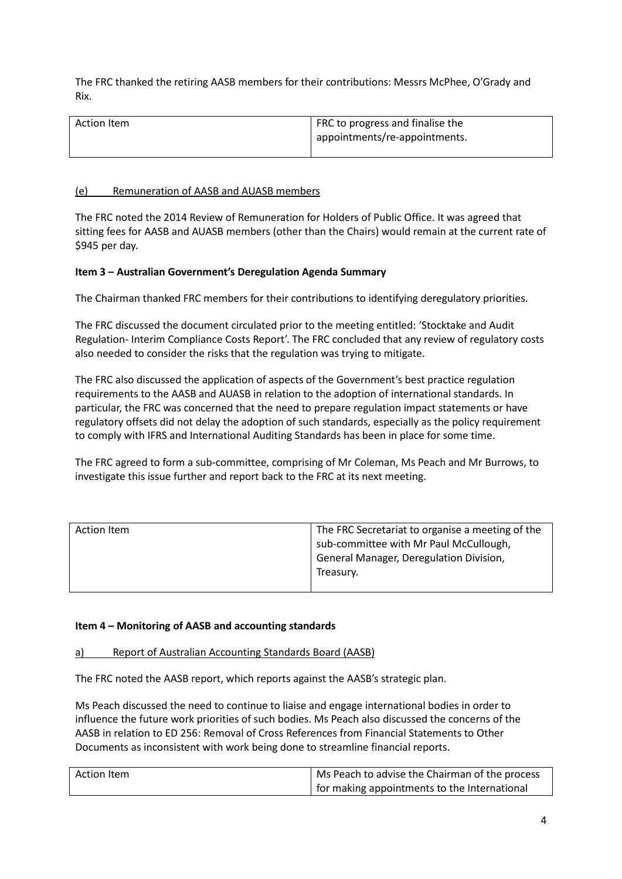The FRC thanked the retiring AASB members for their contributions: Messrs McPhee, O'Grady and Rix.

| Action Item | FRC to progress and finalise the |
|-------------|----------------------------------|
|             | appointments/re-appointments.    |
|             |                                  |

### (e) Remuneration of AASB and AUASB members

The FRC noted the 2014 Review of Remuneration for Holders of Public Office. It was agreed that sitting fees for AASB and AUASB members (other than the Chairs) would remain at the current rate of \$945 per day.

## **Item 3 – Australian Government's Deregulation Agenda Summary**

The Chairman thanked FRC members for their contributions to identifying deregulatory priorities.

The FRC discussed the document circulated prior to the meeting entitled: 'Stocktake and Audit Regulation- Interim Compliance Costs Report'. The FRC concluded that any review of regulatory costs also needed to consider the risks that the regulation was trying to mitigate.

The FRC also discussed the application of aspects of the Government's best practice regulation requirements to the AASB and AUASB in relation to the adoption of international standards. In particular, the FRC was concerned that the need to prepare regulation impact statements or have regulatory offsets did not delay the adoption of such standards, especially as the policy requirement to comply with IFRS and International Auditing Standards has been in place for some time.

The FRC agreed to form a sub-committee, comprising of Mr Coleman, Ms Peach and Mr Burrows, to investigate this issue further and report back to the FRC at its next meeting.

| Action Item | The FRC Secretariat to organise a meeting of the |
|-------------|--------------------------------------------------|
|             | sub-committee with Mr Paul McCullough,           |
|             | General Manager, Deregulation Division,          |
|             | Treasury.                                        |
|             |                                                  |

### **Item 4 – Monitoring of AASB and accounting standards**

### a) Report of Australian Accounting Standards Board (AASB)

The FRC noted the AASB report, which reports against the AASB's strategic plan.

Ms Peach discussed the need to continue to liaise and engage international bodies in order to influence the future work priorities of such bodies. Ms Peach also discussed the concerns of the AASB in relation to ED 256: Removal of Cross References from Financial Statements to Other Documents as inconsistent with work being done to streamline financial reports.

| Action Item | Ms Peach to advise the Chairman of the process |
|-------------|------------------------------------------------|
|             | for making appointments to the International   |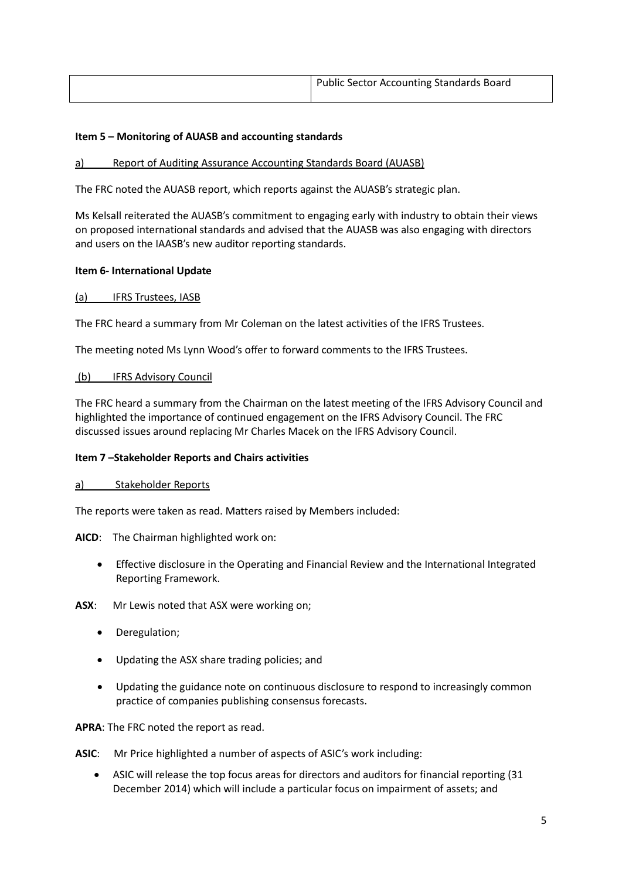| <b>Public Sector Accounting Standards Board</b> |
|-------------------------------------------------|
|                                                 |

# **Item 5 – Monitoring of AUASB and accounting standards**

### a) Report of Auditing Assurance Accounting Standards Board (AUASB)

The FRC noted the AUASB report, which reports against the AUASB's strategic plan.

Ms Kelsall reiterated the AUASB's commitment to engaging early with industry to obtain their views on proposed international standards and advised that the AUASB was also engaging with directors and users on the IAASB's new auditor reporting standards.

## **Item 6- International Update**

## (a) IFRS Trustees, IASB

The FRC heard a summary from Mr Coleman on the latest activities of the IFRS Trustees.

The meeting noted Ms Lynn Wood's offer to forward comments to the IFRS Trustees.

## (b) IFRS Advisory Council

The FRC heard a summary from the Chairman on the latest meeting of the IFRS Advisory Council and highlighted the importance of continued engagement on the IFRS Advisory Council. The FRC discussed issues around replacing Mr Charles Macek on the IFRS Advisory Council.

### **Item 7 –Stakeholder Reports and Chairs activities**

### a) Stakeholder Reports

The reports were taken as read. Matters raised by Members included:

**AICD**: The Chairman highlighted work on:

• Effective disclosure in the Operating and Financial Review and the International Integrated Reporting Framework.

**ASX**: Mr Lewis noted that ASX were working on;

- Deregulation;
- Updating the ASX share trading policies; and
- Updating the guidance note on continuous disclosure to respond to increasingly common practice of companies publishing consensus forecasts.

**APRA**: The FRC noted the report as read.

**ASIC**: Mr Price highlighted a number of aspects of ASIC's work including:

• ASIC will release the top focus areas for directors and auditors for financial reporting (31 December 2014) which will include a particular focus on impairment of assets; and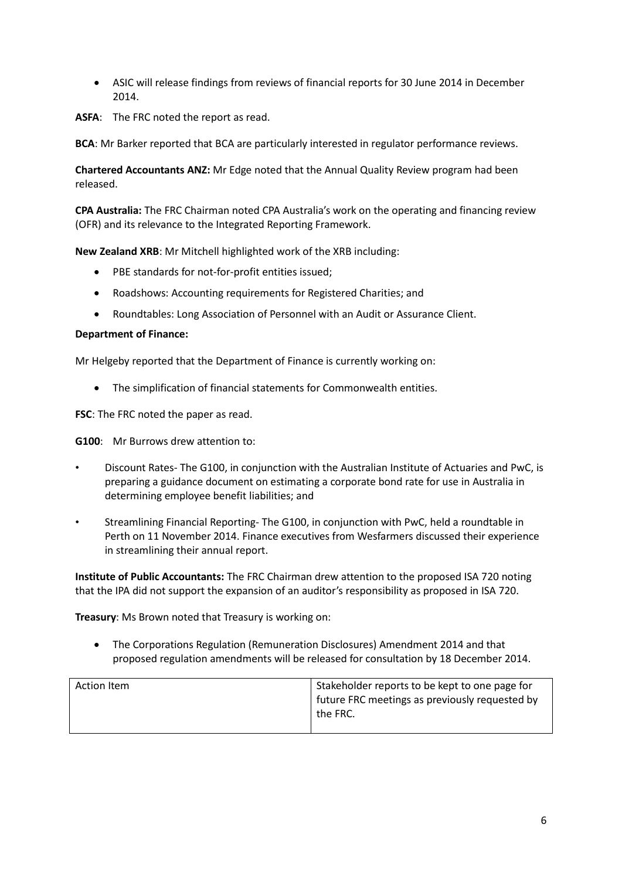- ASIC will release findings from reviews of financial reports for 30 June 2014 in December 2014.
- **ASFA**: The FRC noted the report as read.

**BCA**: Mr Barker reported that BCA are particularly interested in regulator performance reviews.

**Chartered Accountants ANZ:** Mr Edge noted that the Annual Quality Review program had been released.

**CPA Australia:** The FRC Chairman noted CPA Australia's work on the operating and financing review (OFR) and its relevance to the Integrated Reporting Framework.

**New Zealand XRB**: Mr Mitchell highlighted work of the XRB including:

- PBE standards for not-for-profit entities issued;
- Roadshows: Accounting requirements for Registered Charities; and
- Roundtables: Long Association of Personnel with an Audit or Assurance Client.

### **Department of Finance:**

Mr Helgeby reported that the Department of Finance is currently working on:

• The simplification of financial statements for Commonwealth entities.

**FSC**: The FRC noted the paper as read.

**G100**: Mr Burrows drew attention to:

- Discount Rates- The G100, in conjunction with the Australian Institute of Actuaries and PwC, is preparing a guidance document on estimating a corporate bond rate for use in Australia in determining employee benefit liabilities; and
- Streamlining Financial Reporting- The G100, in conjunction with PwC, held a roundtable in Perth on 11 November 2014. Finance executives from Wesfarmers discussed their experience in streamlining their annual report.

**Institute of Public Accountants:** The FRC Chairman drew attention to the proposed ISA 720 noting that the IPA did not support the expansion of an auditor's responsibility as proposed in ISA 720.

**Treasury**: Ms Brown noted that Treasury is working on:

• The Corporations Regulation (Remuneration Disclosures) Amendment 2014 and that proposed regulation amendments will be released for consultation by 18 December 2014.

| Action Item | Stakeholder reports to be kept to one page for<br>future FRC meetings as previously requested by<br>the FRC. |
|-------------|--------------------------------------------------------------------------------------------------------------|
|-------------|--------------------------------------------------------------------------------------------------------------|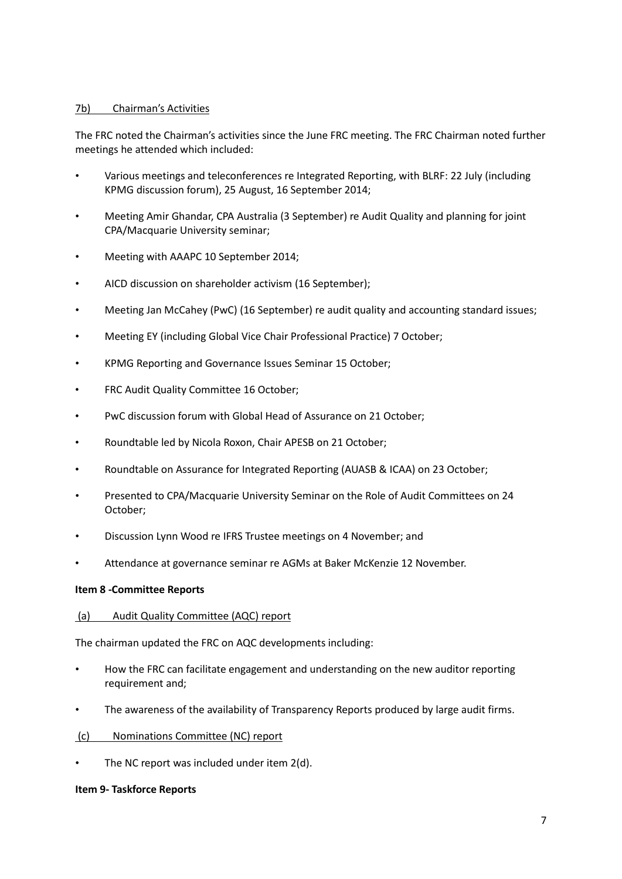### 7b) Chairman's Activities

The FRC noted the Chairman's activities since the June FRC meeting. The FRC Chairman noted further meetings he attended which included:

- Various meetings and teleconferences re Integrated Reporting, with BLRF: 22 July (including KPMG discussion forum), 25 August, 16 September 2014;
- Meeting Amir Ghandar, CPA Australia (3 September) re Audit Quality and planning for joint CPA/Macquarie University seminar;
- Meeting with AAAPC 10 September 2014;
- AICD discussion on shareholder activism (16 September);
- Meeting Jan McCahey (PwC) (16 September) re audit quality and accounting standard issues;
- Meeting EY (including Global Vice Chair Professional Practice) 7 October;
- KPMG Reporting and Governance Issues Seminar 15 October;
- FRC Audit Quality Committee 16 October;
- PwC discussion forum with Global Head of Assurance on 21 October;
- Roundtable led by Nicola Roxon, Chair APESB on 21 October;
- Roundtable on Assurance for Integrated Reporting (AUASB & ICAA) on 23 October;
- Presented to CPA/Macquarie University Seminar on the Role of Audit Committees on 24 October;
- Discussion Lynn Wood re IFRS Trustee meetings on 4 November; and
- Attendance at governance seminar re AGMs at Baker McKenzie 12 November.

### **Item 8 -Committee Reports**

### (a) Audit Quality Committee (AQC) report

The chairman updated the FRC on AQC developments including:

- How the FRC can facilitate engagement and understanding on the new auditor reporting requirement and;
- The awareness of the availability of Transparency Reports produced by large audit firms.
- (c) Nominations Committee (NC) report
- The NC report was included under item 2(d).

### **Item 9- Taskforce Reports**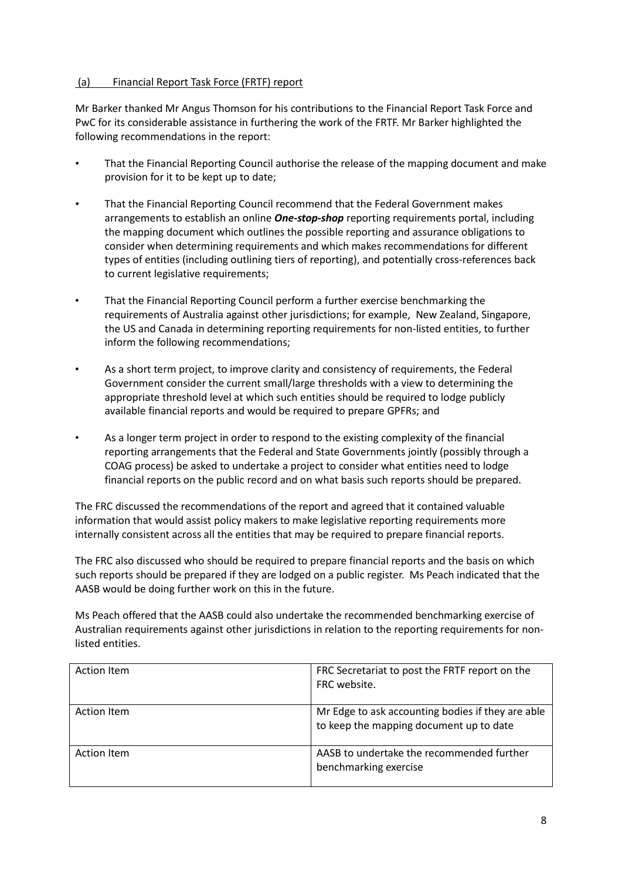# (a) Financial Report Task Force (FRTF) report

Mr Barker thanked Mr Angus Thomson for his contributions to the Financial Report Task Force and PwC for its considerable assistance in furthering the work of the FRTF. Mr Barker highlighted the following recommendations in the report:

- That the Financial Reporting Council authorise the release of the mapping document and make provision for it to be kept up to date;
- That the Financial Reporting Council recommend that the Federal Government makes arrangements to establish an online *One-stop-shop* reporting requirements portal, including the mapping document which outlines the possible reporting and assurance obligations to consider when determining requirements and which makes recommendations for different types of entities (including outlining tiers of reporting), and potentially cross-references back to current legislative requirements;
- That the Financial Reporting Council perform a further exercise benchmarking the requirements of Australia against other jurisdictions; for example, New Zealand, Singapore, the US and Canada in determining reporting requirements for non-listed entities, to further inform the following recommendations;
- As a short term project, to improve clarity and consistency of requirements, the Federal Government consider the current small/large thresholds with a view to determining the appropriate threshold level at which such entities should be required to lodge publicly available financial reports and would be required to prepare GPFRs; and
- As a longer term project in order to respond to the existing complexity of the financial reporting arrangements that the Federal and State Governments jointly (possibly through a COAG process) be asked to undertake a project to consider what entities need to lodge financial reports on the public record and on what basis such reports should be prepared.

The FRC discussed the recommendations of the report and agreed that it contained valuable information that would assist policy makers to make legislative reporting requirements more internally consistent across all the entities that may be required to prepare financial reports.

The FRC also discussed who should be required to prepare financial reports and the basis on which such reports should be prepared if they are lodged on a public register. Ms Peach indicated that the AASB would be doing further work on this in the future.

Ms Peach offered that the AASB could also undertake the recommended benchmarking exercise of Australian requirements against other jurisdictions in relation to the reporting requirements for nonlisted entities.

| <b>Action Item</b> | FRC Secretariat to post the FRTF report on the<br>FRC website.                               |
|--------------------|----------------------------------------------------------------------------------------------|
| Action Item        | Mr Edge to ask accounting bodies if they are able<br>to keep the mapping document up to date |
| Action Item        | AASB to undertake the recommended further<br>benchmarking exercise                           |